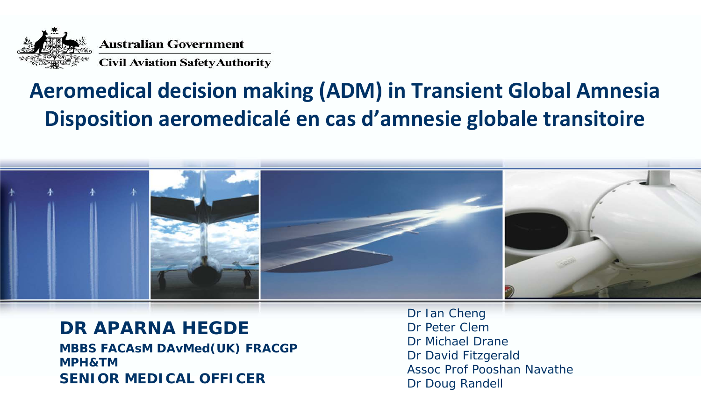

#### **Aeromedical decision making (ADM) in Transient Global Amnesia Disposition aeromedicalé en cas d'amnesie globale transitoire**



#### **DR APARNA HEGDE**

**SENIOR MEDICAL OFFICER MBBS FACAsM DAvMed(UK) FRACGP MPH&TM**

Dr Ian Cheng Dr Peter Clem Dr Michael Drane Dr David Fitzgerald Assoc Prof Pooshan Navathe Dr Doug Randell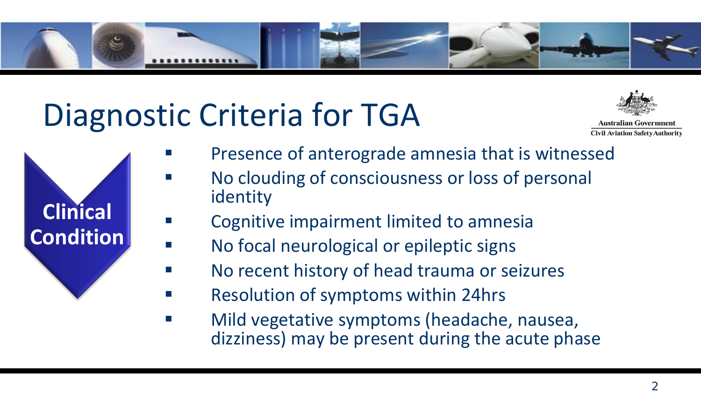

#### Diagnostic Criteria for TGA



**Australian Government Civil Aviation Safety Authority** 

**Clinical Condition**

- Presence of anterograde amnesia that is witnessed
- No clouding of consciousness or loss of personal identity
- Cognitive impairment limited to amnesia
- No focal neurological or epileptic signs
- No recent history of head trauma or seizures
- Resolution of symptoms within 24hrs
- Mild vegetative symptoms (headache, nausea, dizziness) may be present during the acute phase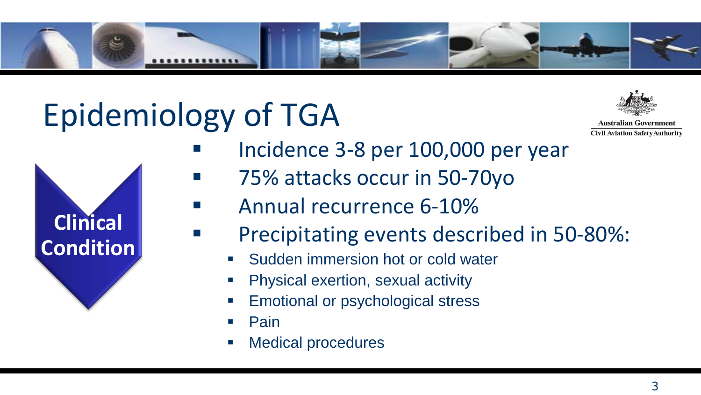

#### Epidemiology of TGA



**Australian Government Civil Aviation Safety Authority** 



- Incidence 3-8 per 100,000 per year
- **75% attacks occur in 50-70yo** 
	- Annual recurrence 6-10%
	- Precipitating events described in 50-80%:
		- Sudden immersion hot or cold water
		- Physical exertion, sexual activity
		- Emotional or psychological stress
		- Pain
		- Medical procedures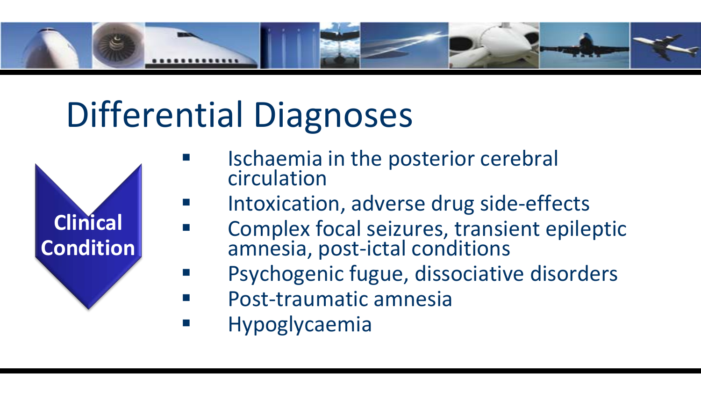

# Differential Diagnoses



- Ischaemia in the posterior cerebral circulation
- Intoxication, adverse drug side-effects
- Complex focal seizures, transient epileptic amnesia, post-ictal conditions
- Psychogenic fugue, dissociative disorders
- Post-traumatic amnesia
- Hypoglycaemia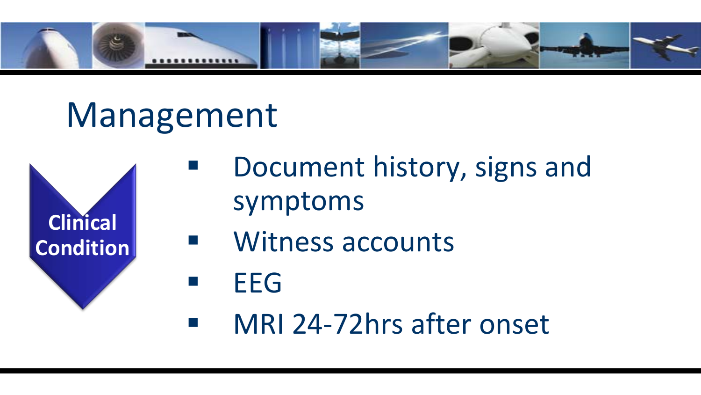

#### Management



- Document history, signs and symptoms
- **Nitness accounts**
- $E = E$
- MRI 24-72hrs after onset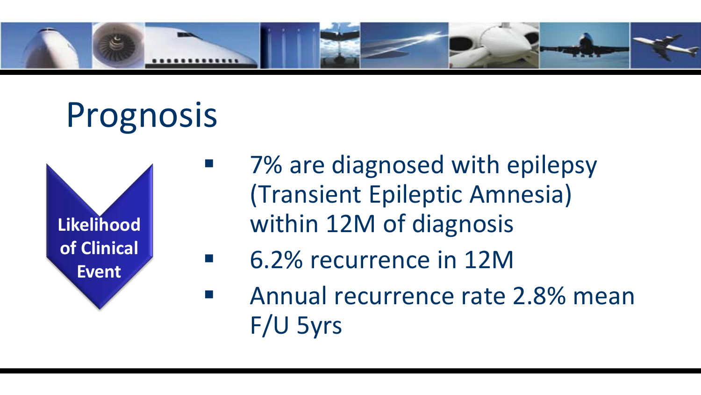

# Prognosis



- 7% are diagnosed with epilepsy (Transient Epileptic Amnesia) within 12M of diagnosis
- 6.2% recurrence in 12M
- Annual recurrence rate 2.8% mean F/U 5yrs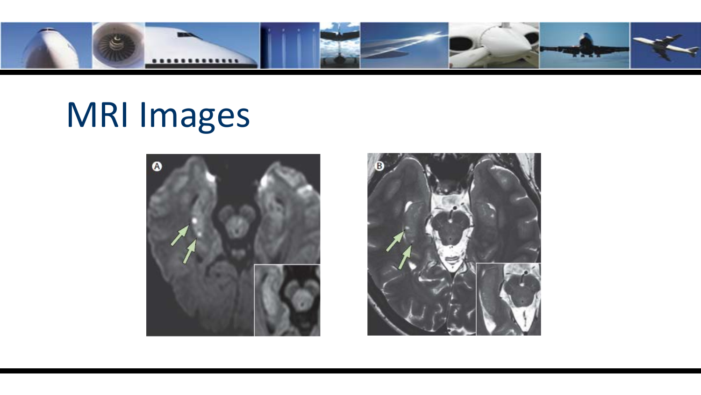

#### MRI Images



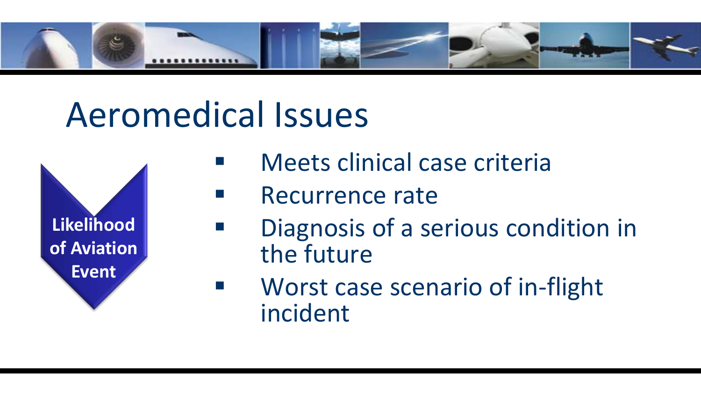

#### Aeromedical Issues



- Meets clinical case criteria
- **Recurrence rate** 
	- Diagnosis of a serious condition in the future
- **Norst case scenario of in-flight** incident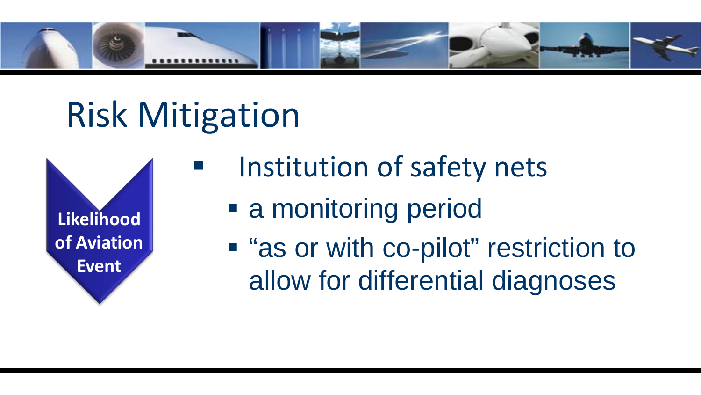

#### Risk Mitigation



- Institution of safety nets
	- a monitoring period
	- "as or with co-pilot" restriction to allow for differential diagnoses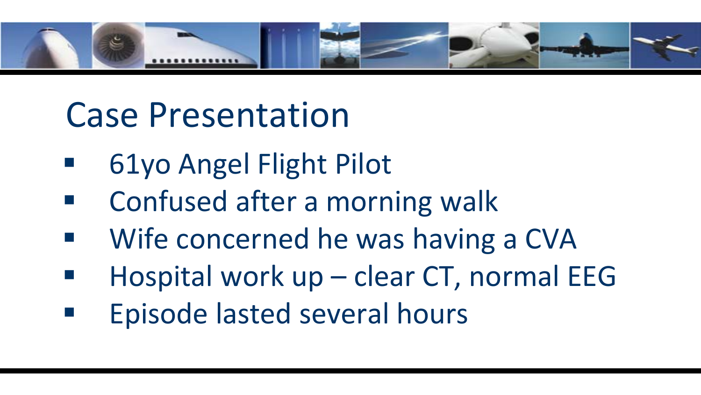

#### Case Presentation

- 61yo Angel Flight Pilot
- Confused after a morning walk
- Wife concerned he was having a CVA
- Hospital work up clear CT, normal EEG
- Episode lasted several hours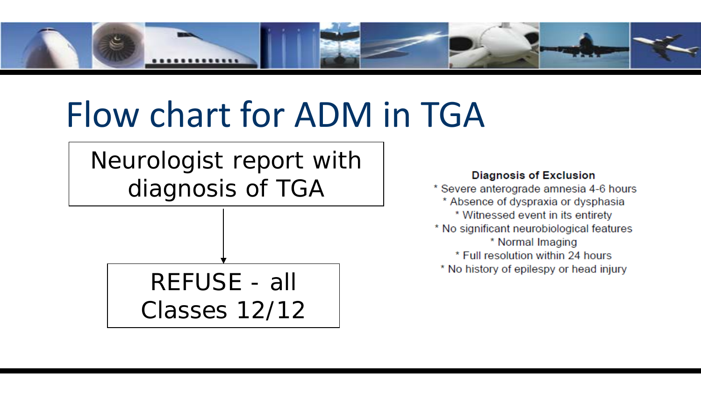

### Flow chart for ADM in TGA

Neurologist report with diagnosis of TGA

> REFUSE - all Classes 12/12

#### **Diagnosis of Exclusion**

\* Severe anterograde amnesia 4-6 hours \* Absence of dyspraxia or dysphasia \* Witnessed event in its entirety \* No significant neurobiological features \* Normal Imaging \* Full resolution within 24 hours \* No history of epilespy or head injury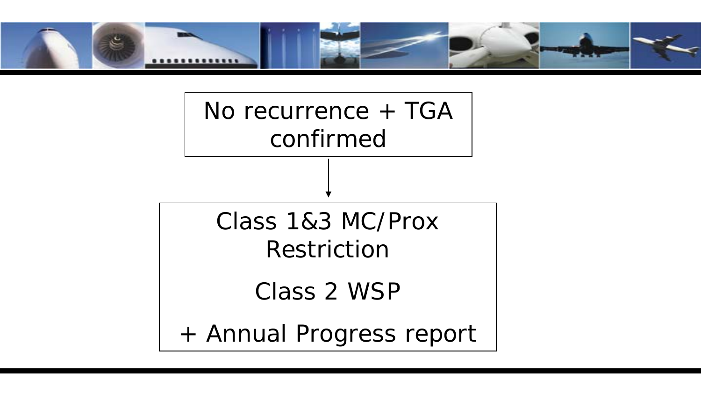

No recurrence + TGA confirmed

Class 1&3 MC/Prox Restriction

Class 2 WSP

+ Annual Progress report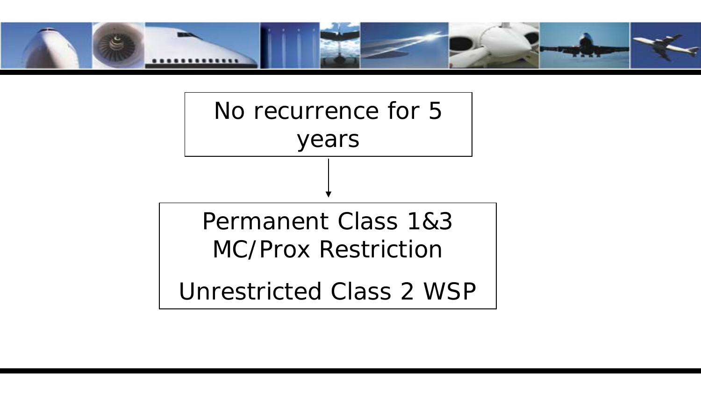

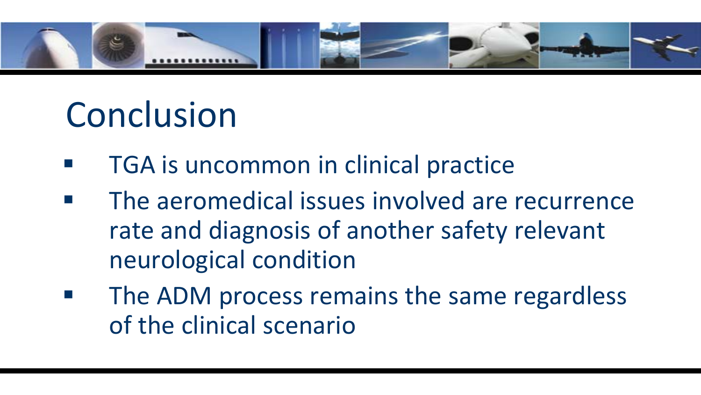

#### Conclusion

- TGA is uncommon in clinical practice
- The aeromedical issues involved are recurrence rate and diagnosis of another safety relevant neurological condition
- The ADM process remains the same regardless of the clinical scenario